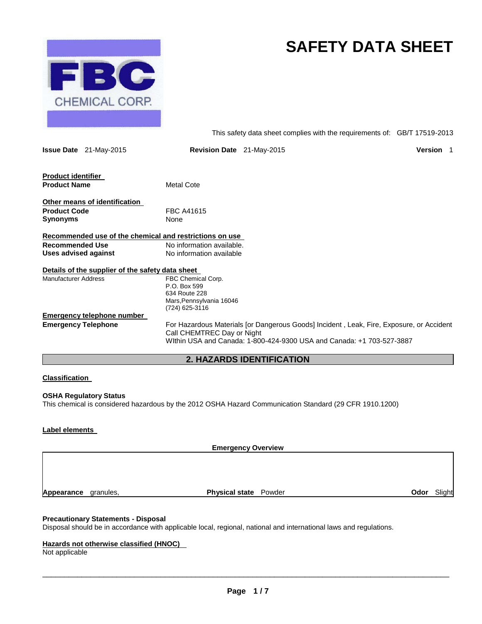

# **SAFETY DATA SHEET**

This safety data sheet complies with the requirements of: GB/T 17519-2013

|                                           | <b>Issue Date</b> 21-May-2015                    | <b>Revision Date</b> 21-May-2015                                                                                                                                                                | Version 1 |  |
|-------------------------------------------|--------------------------------------------------|-------------------------------------------------------------------------------------------------------------------------------------------------------------------------------------------------|-----------|--|
| Product identifier<br><b>Product Name</b> |                                                  | <b>Metal Cote</b>                                                                                                                                                                               |           |  |
| <b>Product Code</b>                       | Other means of identification                    | <b>FBC A41615</b>                                                                                                                                                                               |           |  |
| Synonyms                                  |                                                  | None                                                                                                                                                                                            |           |  |
|                                           |                                                  | Recommended use of the chemical and restrictions on use                                                                                                                                         |           |  |
| <b>Recommended Use</b>                    |                                                  | No information available.                                                                                                                                                                       |           |  |
| <b>Uses advised against</b>               |                                                  | No information available                                                                                                                                                                        |           |  |
|                                           | Details of the supplier of the safety data sheet |                                                                                                                                                                                                 |           |  |
| <b>Manufacturer Address</b>               |                                                  | FBC Chemical Corp.<br>P.O. Box 599<br>634 Route 228<br>Mars, Pennsylvania 16046<br>(724) 625-3116                                                                                               |           |  |
|                                           | <b>Emergency telephone number</b>                |                                                                                                                                                                                                 |           |  |
| <b>Emergency Telephone</b>                |                                                  | For Hazardous Materials [or Dangerous Goods] Incident, Leak, Fire, Exposure, or Accident<br>Call CHEMTREC Day or Night<br>Within USA and Canada: 1-800-424-9300 USA and Canada: +1 703-527-3887 |           |  |

# **2. HAZARDS IDENTIFICATION**

# **Classification**

**OSHA Regulatory Status** This chemical is considered hazardous by the 2012 OSHA Hazard Communication Standard (29 CFR 1910.1200)

#### **Label elements**

**Emergency Overview Appearance** granules, **Physical state** Powder **Odor** Slight

## **Precautionary Statements - Disposal**

Disposal should be in accordance with applicable local, regional, national and international laws and regulations.

# **Hazards not otherwise classified (HNOC)**

Not applicable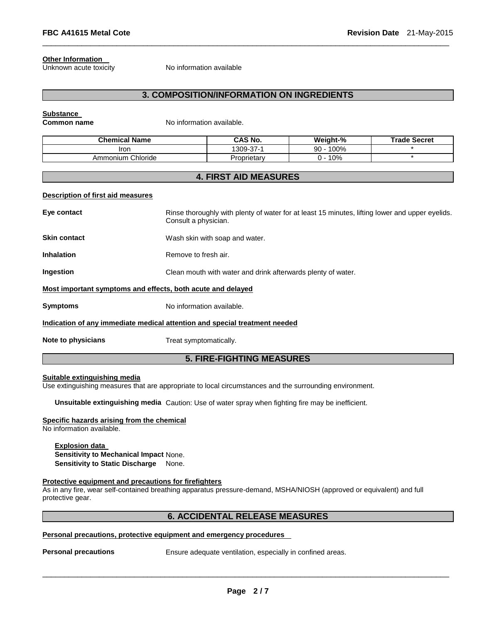#### **Other Information**

Unknown acute toxicity No information available

# **3. COMPOSITION/INFORMATION ON INGREDIENTS**

\_\_\_\_\_\_\_\_\_\_\_\_\_\_\_\_\_\_\_\_\_\_\_\_\_\_\_\_\_\_\_\_\_\_\_\_\_\_\_\_\_\_\_\_\_\_\_\_\_\_\_\_\_\_\_\_\_\_\_\_\_\_\_\_\_\_\_\_\_\_\_\_\_\_\_\_\_\_\_\_\_\_\_\_\_\_\_\_\_\_\_\_\_

#### **Substance**

**Common name** No information available.

| <b>Chemical Name</b> | CAS No.         | Weight-%   | <b>Trade Secret</b> |
|----------------------|-----------------|------------|---------------------|
| Iron                 | $1309 - 37 - 1$ | 100%<br>90 |                     |
| Ammonium Chloride    | Proprietarv     | 10%        |                     |

# **4. FIRST AID MEASURES**

#### **Description of first aid measures**

| Eye contact                                                 | Rinse thoroughly with plenty of water for at least 15 minutes, lifting lower and upper eyelids.<br>Consult a physician. |  |  |
|-------------------------------------------------------------|-------------------------------------------------------------------------------------------------------------------------|--|--|
| <b>Skin contact</b>                                         | Wash skin with soap and water.                                                                                          |  |  |
| <b>Inhalation</b>                                           | Remove to fresh air.                                                                                                    |  |  |
| Ingestion                                                   | Clean mouth with water and drink afterwards plenty of water.                                                            |  |  |
| Most important symptoms and effects, both acute and delayed |                                                                                                                         |  |  |
| <b>Symptoms</b>                                             | No information available.                                                                                               |  |  |
|                                                             | Indication of any immediate medical attention and special treatment needed                                              |  |  |
| Note to physicians                                          | Treat symptomatically.                                                                                                  |  |  |

# **5. FIRE-FIGHTING MEASURES**

## **Suitable extinguishing media**

Use extinguishing measures that are appropriate to local circumstances and the surrounding environment.

**Unsuitable extinguishing media** Caution: Use of water spray when fighting fire may be inefficient.

## **Specific hazards arising from the chemical**

No information available.

#### **Explosion data**

**Sensitivity to Mechanical Impact** None. **Sensitivity to Static Discharge** None.

# **Protective equipment and precautions for firefighters**

As in any fire, wear self-contained breathing apparatus pressure-demand, MSHA/NIOSH (approved or equivalent) and full protective gear.

# **6. ACCIDENTAL RELEASE MEASURES**

#### **Personal precautions, protective equipment and emergency procedures**

**Personal precautions** Ensure adequate ventilation, especially in confined areas.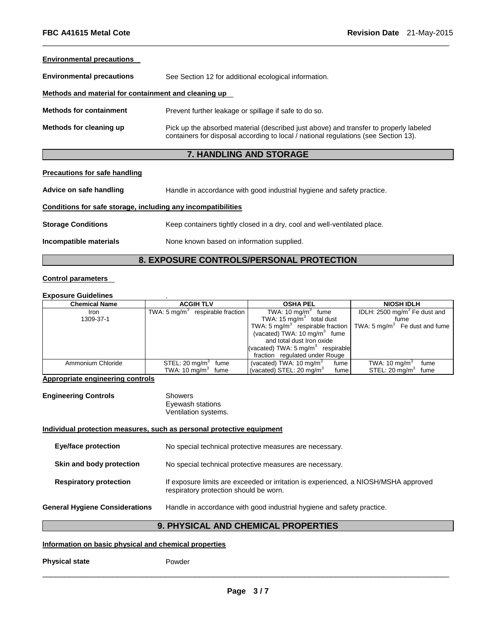#### **Environmental precautions**

| <b>Environmental precautions</b>                     | See Section 12 for additional ecological information.                                                                                                                        |  |
|------------------------------------------------------|------------------------------------------------------------------------------------------------------------------------------------------------------------------------------|--|
| Methods and material for containment and cleaning up |                                                                                                                                                                              |  |
| <b>Methods for containment</b>                       | Prevent further leakage or spillage if safe to do so.                                                                                                                        |  |
| Methods for cleaning up                              | Pick up the absorbed material (described just above) and transfer to properly labeled<br>containers for disposal according to local / national regulations (see Section 13). |  |

\_\_\_\_\_\_\_\_\_\_\_\_\_\_\_\_\_\_\_\_\_\_\_\_\_\_\_\_\_\_\_\_\_\_\_\_\_\_\_\_\_\_\_\_\_\_\_\_\_\_\_\_\_\_\_\_\_\_\_\_\_\_\_\_\_\_\_\_\_\_\_\_\_\_\_\_\_\_\_\_\_\_\_\_\_\_\_\_\_\_\_\_\_

# **7. HANDLING AND STORAGE**

## **Precautions for safe handling**

| Advice on safe handling                                      | Handle in accordance with good industrial hygiene and safety practice.   |
|--------------------------------------------------------------|--------------------------------------------------------------------------|
| Conditions for safe storage, including any incompatibilities |                                                                          |
| <b>Storage Conditions</b>                                    | Keep containers tightly closed in a dry, cool and well-ventilated place. |
| Incompatible materials                                       | None known based on information supplied.                                |

# **8. EXPOSURE CONTROLS/PERSONAL PROTECTION**

# **Control parameters**

#### **Exposure Guidelines** .

| <b>Chemical Name</b> | <b>ACGIH TLV</b>                   | <b>OSHA PEL</b>                              | <b>NIOSH IDLH</b>                        |  |
|----------------------|------------------------------------|----------------------------------------------|------------------------------------------|--|
| Iron.                | TWA: 5 $mq/m3$ respirable fraction | TWA: $10 \text{ mg/m}^3$ fume                | IDLH: $2500 \text{ mg/m}^3$ Fe dust and  |  |
| 1309-37-1            |                                    | TWA: 15 $mg/m3$ total dust                   | fume                                     |  |
|                      |                                    | TWA: 5 mg/m <sup>3</sup> respirable fraction | TWA: $5 \text{ mg/m}^3$ Fe dust and fume |  |
|                      |                                    | (vacated) TWA: 10 mg/m <sup>3</sup> fume     |                                          |  |
|                      |                                    | and total dust Iron oxide                    |                                          |  |
|                      |                                    | (vacated) TWA: $5 \text{ mg/m}^3$ respirable |                                          |  |
|                      |                                    | fraction regulated under Rouge               |                                          |  |
| Ammonium Chloride    | STEL: 20 mg/m $3$ fume             | (vacated) TWA: $10 \text{ mg/m}^3$<br>fume   | TWA: 10 mg/m <sup>3</sup><br>fume        |  |
|                      | TWA: $10 \text{ mg/m}^3$ fume      | (vacated) STEL: $20 \text{ mg/m}^3$<br>fume  | STEL: $20 \text{ mg/m}^3$<br>fume        |  |

## **Appropriate engineering controls**

| <b>Engineering Controls</b> | Showers              |
|-----------------------------|----------------------|
|                             | Eyewash stations     |
|                             | Ventilation systems. |

# **Individual protection measures, such as personal protective equipment**

|                                       | ANID OLIEMIO AL<br>A BUVEIAAL<br><b>DDADEDTIEC</b>                                                                            |
|---------------------------------------|-------------------------------------------------------------------------------------------------------------------------------|
| <b>General Hygiene Considerations</b> | Handle in accordance with good industrial hygiene and safety practice.                                                        |
| <b>Respiratory protection</b>         | If exposure limits are exceeded or irritation is experienced, a NIOSH/MSHA approved<br>respiratory protection should be worn. |
| Skin and body protection              | No special technical protective measures are necessary.                                                                       |
| <b>Eye/face protection</b>            | No special technical protective measures are necessary.                                                                       |
|                                       |                                                                                                                               |

# **9. PHYSICAL AND CHEMICAL PROPERTIES**

# **Information on basic physical and chemical properties**

**Physical state** Powder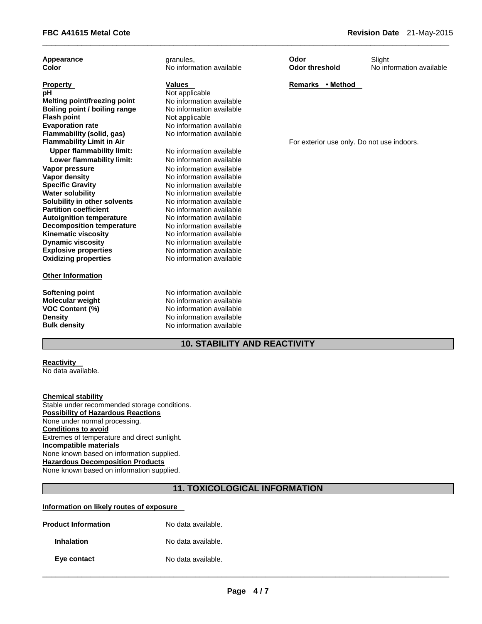| Appearance                       | granules,                | Odor                                       | Slight                   |
|----------------------------------|--------------------------|--------------------------------------------|--------------------------|
| Color                            | No information available | <b>Odor threshold</b>                      | No information available |
| <b>Property</b>                  | <b>Values</b>            | Remarks • Method                           |                          |
| pH                               | Not applicable           |                                            |                          |
| Melting point/freezing point     | No information available |                                            |                          |
| Boiling point / boiling range    | No information available |                                            |                          |
| <b>Flash point</b>               | Not applicable           |                                            |                          |
| <b>Evaporation rate</b>          | No information available |                                            |                          |
| Flammability (solid, gas)        | No information available |                                            |                          |
| <b>Flammability Limit in Air</b> |                          | For exterior use only. Do not use indoors. |                          |
| <b>Upper flammability limit:</b> | No information available |                                            |                          |
| Lower flammability limit:        | No information available |                                            |                          |
| Vapor pressure                   | No information available |                                            |                          |
| <b>Vapor density</b>             | No information available |                                            |                          |
| <b>Specific Gravity</b>          | No information available |                                            |                          |
| <b>Water solubility</b>          | No information available |                                            |                          |
| Solubility in other solvents     | No information available |                                            |                          |
| <b>Partition coefficient</b>     | No information available |                                            |                          |
| <b>Autoignition temperature</b>  | No information available |                                            |                          |
| <b>Decomposition temperature</b> | No information available |                                            |                          |
| <b>Kinematic viscosity</b>       | No information available |                                            |                          |
| <b>Dynamic viscosity</b>         | No information available |                                            |                          |
| <b>Explosive properties</b>      | No information available |                                            |                          |
| <b>Oxidizing properties</b>      | No information available |                                            |                          |
| <b>Other Information</b>         |                          |                                            |                          |
| <b>Softening point</b>           | No information available |                                            |                          |
| <b>Molecular weight</b>          | No information available |                                            |                          |
| <b>VOC Content (%)</b>           | No information available |                                            |                          |
| <b>Density</b>                   | No information available |                                            |                          |
| <b>Bulk density</b>              | No information available |                                            |                          |

\_\_\_\_\_\_\_\_\_\_\_\_\_\_\_\_\_\_\_\_\_\_\_\_\_\_\_\_\_\_\_\_\_\_\_\_\_\_\_\_\_\_\_\_\_\_\_\_\_\_\_\_\_\_\_\_\_\_\_\_\_\_\_\_\_\_\_\_\_\_\_\_\_\_\_\_\_\_\_\_\_\_\_\_\_\_\_\_\_\_\_\_\_

# **10. STABILITY AND REACTIVITY**

# **Reactivity**

No data available.

**Chemical stability** Stable under recommended storage conditions. **Possibility of Hazardous Reactions** None under normal processing. **Conditions to avoid** Extremes of temperature and direct sunlight. **Incompatible materials** None known based on information supplied. **Hazardous Decomposition Products** None known based on information supplied.

# **11. TOXICOLOGICAL INFORMATION**

# **Information on likely routes of exposure**

| <b>Product Information</b> | No data available. |
|----------------------------|--------------------|
| Inhalation                 | No data available. |
| Eye contact                | No data available. |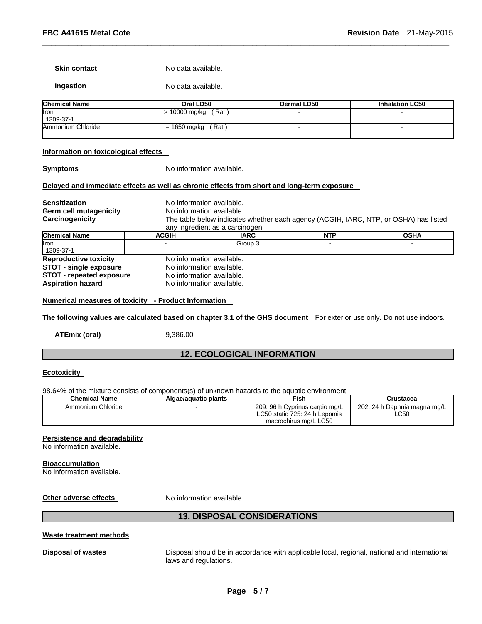#### **Skin contact** No data available.

# **Ingestion No data available.**

| <b>Chemical Name</b>      | Oral LD50              | Dermal LD50 | <b>Inhalation LC50</b> |  |
|---------------------------|------------------------|-------------|------------------------|--|
| <b>I</b> ron<br>1309-37-1 | (Rat)<br>> 10000 mg/kg |             |                        |  |
| Ammonium Chloride         | (Rat)<br>= 1650 mg/kg  |             |                        |  |

\_\_\_\_\_\_\_\_\_\_\_\_\_\_\_\_\_\_\_\_\_\_\_\_\_\_\_\_\_\_\_\_\_\_\_\_\_\_\_\_\_\_\_\_\_\_\_\_\_\_\_\_\_\_\_\_\_\_\_\_\_\_\_\_\_\_\_\_\_\_\_\_\_\_\_\_\_\_\_\_\_\_\_\_\_\_\_\_\_\_\_\_\_

#### **Information on toxicological effects**

**Symptoms** No information available.

#### **Delayed and immediate effects as well as chronic effects from short and long-term exposure**

| <b>Sensitization</b><br>Germ cell mutagenicity<br>Carcinogenicity |              | No information available.<br>No information available.<br>The table below indicates whether each agency (ACGIH, IARC, NTP, or OSHA) has listed<br>any ingredient as a carcinogen. |  |  |  |  |
|-------------------------------------------------------------------|--------------|-----------------------------------------------------------------------------------------------------------------------------------------------------------------------------------|--|--|--|--|
| <b>Chemical Name</b>                                              | <b>ACGIH</b> | <b>NTP</b><br><b>OSHA</b><br>IARC                                                                                                                                                 |  |  |  |  |
| <b>Iron</b><br>1309-37-1                                          |              | Group 3                                                                                                                                                                           |  |  |  |  |
| <b>Reproductive toxicity</b>                                      |              | No information available.                                                                                                                                                         |  |  |  |  |
| <b>STOT - single exposure</b>                                     |              | No information available.                                                                                                                                                         |  |  |  |  |
| <b>STOT - repeated exposure</b>                                   |              | No information available.                                                                                                                                                         |  |  |  |  |
| <b>Aspiration hazard</b>                                          |              | No information available.                                                                                                                                                         |  |  |  |  |

## **Numerical measures of toxicity - Product Information**

**The following values are calculated based on chapter 3.1 of the GHS document** For exterior use only. Do not use indoors.

**ATEmix (oral)** 9,386.00

# **12. ECOLOGICAL INFORMATION**

# **Ecotoxicity**

98.64% of the mixture consists of components(s) of unknown hazards to the aquatic environment

| <b>Chemical Name</b> | Algae/aquatic plants | Fish                           | Crustacea                    |  |
|----------------------|----------------------|--------------------------------|------------------------------|--|
| Ammonium Chloride    |                      | 209: 96 h Cyprinus carpio mg/L | 202: 24 h Daphnia magna mg/L |  |
|                      |                      | LC50 static 725: 24 h Lepomis  | LC50                         |  |
|                      |                      | macrochirus mg/L LC50          |                              |  |

## **Persistence and degradability**

No information available.

#### **Bioaccumulation**

No information available.

**Other adverse effects** No information available

# **13. DISPOSAL CONSIDERATIONS**

#### **Waste treatment methods**

**Disposal of wastes** Disposal should be in accordance with applicable local, regional, national and international laws and regulations.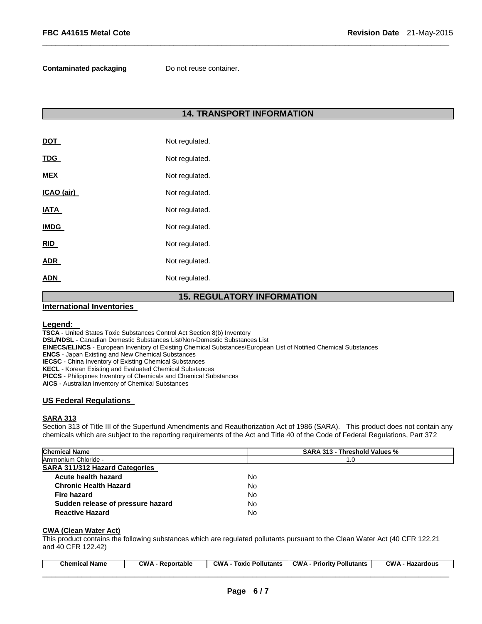**Contaminated packaging Theory Do not reuse container.** 

# **14. TRANSPORT INFORMATION**

\_\_\_\_\_\_\_\_\_\_\_\_\_\_\_\_\_\_\_\_\_\_\_\_\_\_\_\_\_\_\_\_\_\_\_\_\_\_\_\_\_\_\_\_\_\_\_\_\_\_\_\_\_\_\_\_\_\_\_\_\_\_\_\_\_\_\_\_\_\_\_\_\_\_\_\_\_\_\_\_\_\_\_\_\_\_\_\_\_\_\_\_\_

|             | . .<br>----    |
|-------------|----------------|
| <b>ADN</b>  | Not regulated. |
| <b>ADR</b>  | Not regulated. |
| <b>RID</b>  | Not regulated. |
| <b>IMDG</b> | Not regulated. |
| IATA        | Not regulated. |
| ICAO (air)  | Not regulated. |
| <b>MEX</b>  | Not regulated. |
| <u>TDG</u>  | Not regulated. |
| DOT         | Not regulated. |

# **15. REGULATORY INFORMATION**

## **International Inventories**

# **Legend:**

**TSCA** - United States Toxic Substances Control Act Section 8(b) Inventory

**DSL/NDSL** - Canadian Domestic Substances List/Non-Domestic Substances List

- **EINECS/ELINCS**  European Inventory of Existing Chemical Substances/European List of Notified Chemical Substances
- **ENCS**  Japan Existing and New Chemical Substances

**IECSC** - China Inventory of Existing Chemical Substances

**KECL** - Korean Existing and Evaluated Chemical Substances

**PICCS** - Philippines Inventory of Chemicals and Chemical Substances

**AICS** - Australian Inventory of Chemical Substances

# **US Federal Regulations**

#### **SARA 313**

Section 313 of Title III of the Superfund Amendments and Reauthorization Act of 1986 (SARA). This product does not contain any chemicals which are subject to the reporting requirements of the Act and Title 40 of the Code of Federal Regulations, Part 372

| <b>Chemical Name</b>                  | <b>SARA 313 - Threshold Values %</b> |  |  |
|---------------------------------------|--------------------------------------|--|--|
| Ammonium Chloride -                   | 1.0                                  |  |  |
| <b>SARA 311/312 Hazard Categories</b> |                                      |  |  |
| Acute health hazard                   | No.                                  |  |  |
| <b>Chronic Health Hazard</b>          | No.                                  |  |  |
| Fire hazard                           | No.                                  |  |  |
| Sudden release of pressure hazard     | No.                                  |  |  |
| <b>Reactive Hazard</b>                | No.                                  |  |  |

#### **CWA (Clean Water Act)**

This product contains the following substances which are regulated pollutants pursuant to the Clean Water Act (40 CFR 122.21 and 40 CFR 122.42)

| Chemical<br>Name | ∕ ווי<br>eportable? | <b>CWA</b><br>Pollutants<br><b>LOXIC</b> | <b>CWA</b><br>Pollutants<br>Prioritv | <b>CWA</b><br>าrdous<br>241<br>па |
|------------------|---------------------|------------------------------------------|--------------------------------------|-----------------------------------|
|                  |                     |                                          | ________                             | ________________                  |